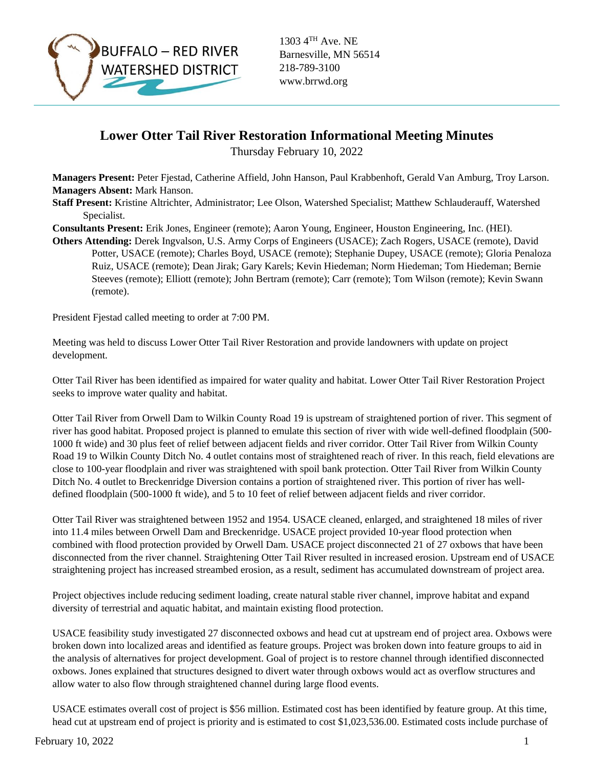

Barnesville, MN 56514 218-789-3100 www.brrwd.org

## **Lower Otter Tail River Restoration Informational Meeting Minutes**

Thursday February 10, 2022

**Managers Present:** Peter Fjestad, Catherine Affield, John Hanson, Paul Krabbenhoft, Gerald Van Amburg, Troy Larson. **Managers Absent:** Mark Hanson.

**Staff Present:** Kristine Altrichter, Administrator; Lee Olson, Watershed Specialist; Matthew Schlauderauff, Watershed Specialist.

**Consultants Present:** Erik Jones, Engineer (remote); Aaron Young, Engineer, Houston Engineering, Inc. (HEI).

**Others Attending:** Derek Ingvalson, U.S. Army Corps of Engineers (USACE); Zach Rogers, USACE (remote), David Potter, USACE (remote); Charles Boyd, USACE (remote); Stephanie Dupey, USACE (remote); Gloria Penaloza Ruiz, USACE (remote); Dean Jirak; Gary Karels; Kevin Hiedeman; Norm Hiedeman; Tom Hiedeman; Bernie Steeves (remote); Elliott (remote); John Bertram (remote); Carr (remote); Tom Wilson (remote); Kevin Swann (remote).

President Fjestad called meeting to order at 7:00 PM.

Meeting was held to discuss Lower Otter Tail River Restoration and provide landowners with update on project development.

Otter Tail River has been identified as impaired for water quality and habitat. Lower Otter Tail River Restoration Project seeks to improve water quality and habitat.

Otter Tail River from Orwell Dam to Wilkin County Road 19 is upstream of straightened portion of river. This segment of river has good habitat. Proposed project is planned to emulate this section of river with wide well-defined floodplain (500- 1000 ft wide) and 30 plus feet of relief between adjacent fields and river corridor. Otter Tail River from Wilkin County Road 19 to Wilkin County Ditch No. 4 outlet contains most of straightened reach of river. In this reach, field elevations are close to 100-year floodplain and river was straightened with spoil bank protection. Otter Tail River from Wilkin County Ditch No. 4 outlet to Breckenridge Diversion contains a portion of straightened river. This portion of river has welldefined floodplain (500-1000 ft wide), and 5 to 10 feet of relief between adjacent fields and river corridor.

Otter Tail River was straightened between 1952 and 1954. USACE cleaned, enlarged, and straightened 18 miles of river into 11.4 miles between Orwell Dam and Breckenridge. USACE project provided 10-year flood protection when combined with flood protection provided by Orwell Dam. USACE project disconnected 21 of 27 oxbows that have been disconnected from the river channel. Straightening Otter Tail River resulted in increased erosion. Upstream end of USACE straightening project has increased streambed erosion, as a result, sediment has accumulated downstream of project area.

Project objectives include reducing sediment loading, create natural stable river channel, improve habitat and expand diversity of terrestrial and aquatic habitat, and maintain existing flood protection.

USACE feasibility study investigated 27 disconnected oxbows and head cut at upstream end of project area. Oxbows were broken down into localized areas and identified as feature groups. Project was broken down into feature groups to aid in the analysis of alternatives for project development. Goal of project is to restore channel through identified disconnected oxbows. Jones explained that structures designed to divert water through oxbows would act as overflow structures and allow water to also flow through straightened channel during large flood events.

USACE estimates overall cost of project is \$56 million. Estimated cost has been identified by feature group. At this time, head cut at upstream end of project is priority and is estimated to cost \$1,023,536.00. Estimated costs include purchase of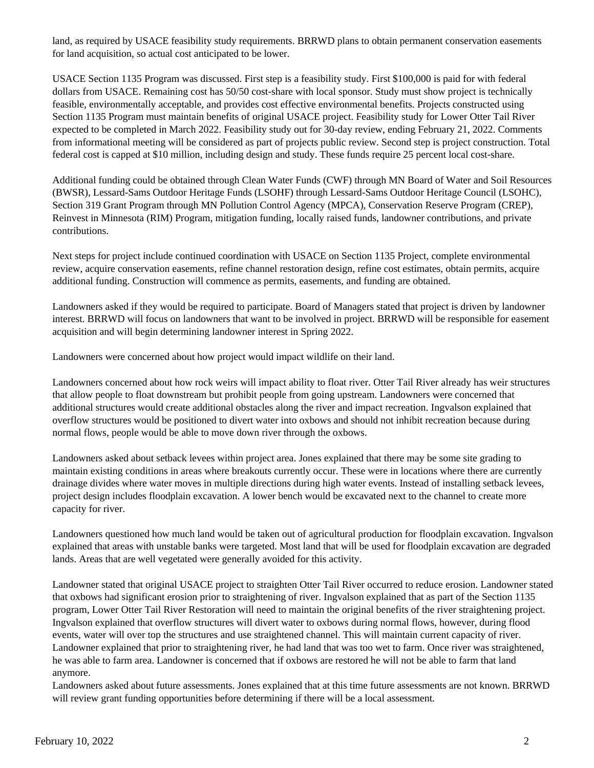land, as required by USACE feasibility study requirements. BRRWD plans to obtain permanent conservation easements for land acquisition, so actual cost anticipated to be lower.

USACE Section 1135 Program was discussed. First step is a feasibility study. First \$100,000 is paid for with federal dollars from USACE. Remaining cost has 50/50 cost-share with local sponsor. Study must show project is technically feasible, environmentally acceptable, and provides cost effective environmental benefits. Projects constructed using Section 1135 Program must maintain benefits of original USACE project. Feasibility study for Lower Otter Tail River expected to be completed in March 2022. Feasibility study out for 30-day review, ending February 21, 2022. Comments from informational meeting will be considered as part of projects public review. Second step is project construction. Total federal cost is capped at \$10 million, including design and study. These funds require 25 percent local cost-share.

Additional funding could be obtained through Clean Water Funds (CWF) through MN Board of Water and Soil Resources (BWSR), Lessard-Sams Outdoor Heritage Funds (LSOHF) through Lessard-Sams Outdoor Heritage Council (LSOHC), Section 319 Grant Program through MN Pollution Control Agency (MPCA), Conservation Reserve Program (CREP), Reinvest in Minnesota (RIM) Program, mitigation funding, locally raised funds, landowner contributions, and private contributions.

Next steps for project include continued coordination with USACE on Section 1135 Project, complete environmental review, acquire conservation easements, refine channel restoration design, refine cost estimates, obtain permits, acquire additional funding. Construction will commence as permits, easements, and funding are obtained.

Landowners asked if they would be required to participate. Board of Managers stated that project is driven by landowner interest. BRRWD will focus on landowners that want to be involved in project. BRRWD will be responsible for easement acquisition and will begin determining landowner interest in Spring 2022.

Landowners were concerned about how project would impact wildlife on their land.

Landowners concerned about how rock weirs will impact ability to float river. Otter Tail River already has weir structures that allow people to float downstream but prohibit people from going upstream. Landowners were concerned that additional structures would create additional obstacles along the river and impact recreation. Ingvalson explained that overflow structures would be positioned to divert water into oxbows and should not inhibit recreation because during normal flows, people would be able to move down river through the oxbows.

Landowners asked about setback levees within project area. Jones explained that there may be some site grading to maintain existing conditions in areas where breakouts currently occur. These were in locations where there are currently drainage divides where water moves in multiple directions during high water events. Instead of installing setback levees, project design includes floodplain excavation. A lower bench would be excavated next to the channel to create more capacity for river.

Landowners questioned how much land would be taken out of agricultural production for floodplain excavation. Ingvalson explained that areas with unstable banks were targeted. Most land that will be used for floodplain excavation are degraded lands. Areas that are well vegetated were generally avoided for this activity.

Landowner stated that original USACE project to straighten Otter Tail River occurred to reduce erosion. Landowner stated that oxbows had significant erosion prior to straightening of river. Ingvalson explained that as part of the Section 1135 program, Lower Otter Tail River Restoration will need to maintain the original benefits of the river straightening project. Ingvalson explained that overflow structures will divert water to oxbows during normal flows, however, during flood events, water will over top the structures and use straightened channel. This will maintain current capacity of river. Landowner explained that prior to straightening river, he had land that was too wet to farm. Once river was straightened, he was able to farm area. Landowner is concerned that if oxbows are restored he will not be able to farm that land anymore.

Landowners asked about future assessments. Jones explained that at this time future assessments are not known. BRRWD will review grant funding opportunities before determining if there will be a local assessment.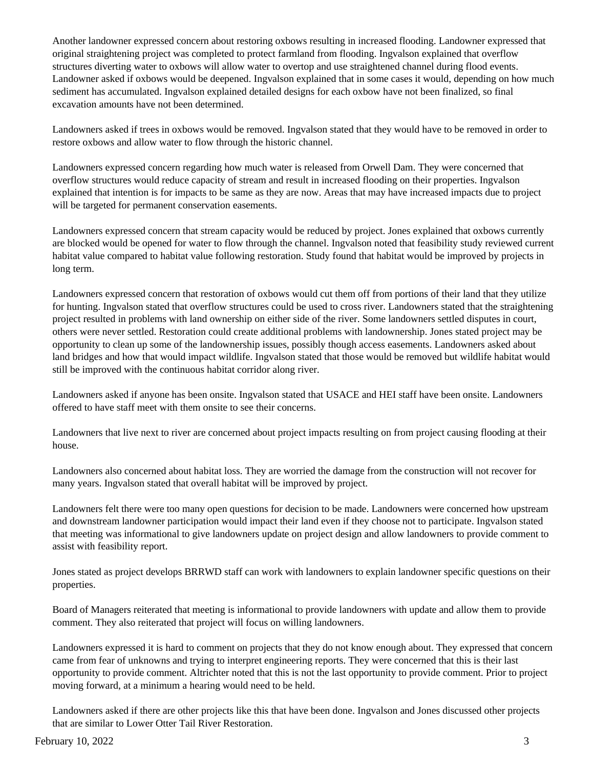Another landowner expressed concern about restoring oxbows resulting in increased flooding. Landowner expressed that original straightening project was completed to protect farmland from flooding. Ingvalson explained that overflow structures diverting water to oxbows will allow water to overtop and use straightened channel during flood events. Landowner asked if oxbows would be deepened. Ingvalson explained that in some cases it would, depending on how much sediment has accumulated. Ingvalson explained detailed designs for each oxbow have not been finalized, so final excavation amounts have not been determined.

Landowners asked if trees in oxbows would be removed. Ingvalson stated that they would have to be removed in order to restore oxbows and allow water to flow through the historic channel.

Landowners expressed concern regarding how much water is released from Orwell Dam. They were concerned that overflow structures would reduce capacity of stream and result in increased flooding on their properties. Ingvalson explained that intention is for impacts to be same as they are now. Areas that may have increased impacts due to project will be targeted for permanent conservation easements.

Landowners expressed concern that stream capacity would be reduced by project. Jones explained that oxbows currently are blocked would be opened for water to flow through the channel. Ingvalson noted that feasibility study reviewed current habitat value compared to habitat value following restoration. Study found that habitat would be improved by projects in long term.

Landowners expressed concern that restoration of oxbows would cut them off from portions of their land that they utilize for hunting. Ingvalson stated that overflow structures could be used to cross river. Landowners stated that the straightening project resulted in problems with land ownership on either side of the river. Some landowners settled disputes in court, others were never settled. Restoration could create additional problems with landownership. Jones stated project may be opportunity to clean up some of the landownership issues, possibly though access easements. Landowners asked about land bridges and how that would impact wildlife. Ingvalson stated that those would be removed but wildlife habitat would still be improved with the continuous habitat corridor along river.

Landowners asked if anyone has been onsite. Ingvalson stated that USACE and HEI staff have been onsite. Landowners offered to have staff meet with them onsite to see their concerns.

Landowners that live next to river are concerned about project impacts resulting on from project causing flooding at their house.

Landowners also concerned about habitat loss. They are worried the damage from the construction will not recover for many years. Ingvalson stated that overall habitat will be improved by project.

Landowners felt there were too many open questions for decision to be made. Landowners were concerned how upstream and downstream landowner participation would impact their land even if they choose not to participate. Ingvalson stated that meeting was informational to give landowners update on project design and allow landowners to provide comment to assist with feasibility report.

Jones stated as project develops BRRWD staff can work with landowners to explain landowner specific questions on their properties.

Board of Managers reiterated that meeting is informational to provide landowners with update and allow them to provide comment. They also reiterated that project will focus on willing landowners.

Landowners expressed it is hard to comment on projects that they do not know enough about. They expressed that concern came from fear of unknowns and trying to interpret engineering reports. They were concerned that this is their last opportunity to provide comment. Altrichter noted that this is not the last opportunity to provide comment. Prior to project moving forward, at a minimum a hearing would need to be held.

Landowners asked if there are other projects like this that have been done. Ingvalson and Jones discussed other projects that are similar to Lower Otter Tail River Restoration.